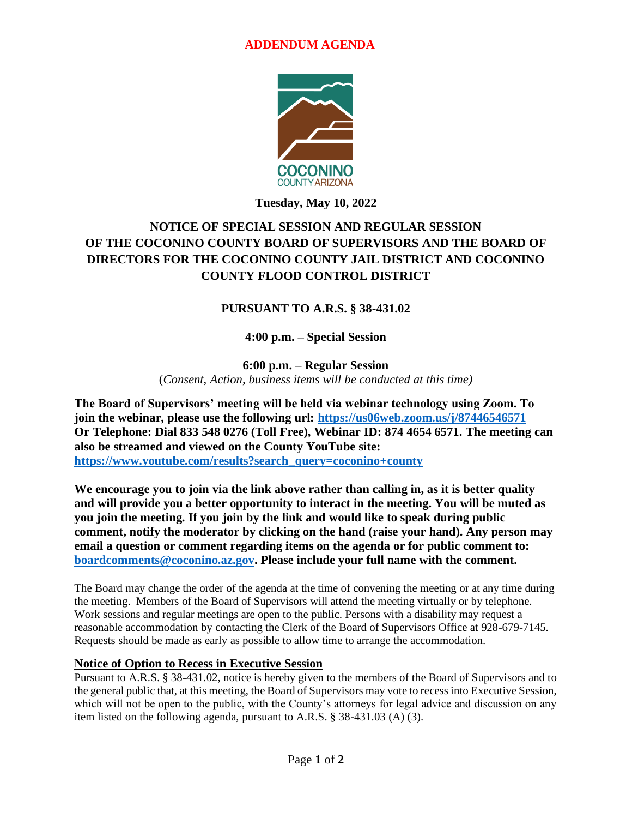### **ADDENDUM AGENDA**



**Tuesday, May 10, 2022**

# **NOTICE OF SPECIAL SESSION AND REGULAR SESSION OF THE COCONINO COUNTY BOARD OF SUPERVISORS AND THE BOARD OF DIRECTORS FOR THE COCONINO COUNTY JAIL DISTRICT AND COCONINO COUNTY FLOOD CONTROL DISTRICT**

## **PURSUANT TO A.R.S. § 38-431.02**

**4:00 p.m. – Special Session**

**6:00 p.m. – Regular Session**  (*Consent, Action, business items will be conducted at this time)*

**The Board of Supervisors' meeting will be held via webinar technology using Zoom. To join the webinar, please use the following url:<https://us06web.zoom.us/j/87446546571> Or Telephone: Dial 833 548 0276 (Toll Free), Webinar ID: 874 4654 6571. The meeting can also be streamed and viewed on the County YouTube site: [https://www.youtube.com/results?search\\_query=coconino+county](https://www.youtube.com/results?search_query=coconino+county)**

**We encourage you to join via the link above rather than calling in, as it is better quality and will provide you a better opportunity to interact in the meeting. You will be muted as you join the meeting. If you join by the link and would like to speak during public comment, notify the moderator by clicking on the hand (raise your hand). Any person may email a question or comment regarding items on the agenda or for public comment to: [boardcomments@coconino.az.gov.](mailto:boardcomments@coconino.az.gov) Please include your full name with the comment.** 

The Board may change the order of the agenda at the time of convening the meeting or at any time during the meeting. Members of the Board of Supervisors will attend the meeting virtually or by telephone. Work sessions and regular meetings are open to the public. Persons with a disability may request a reasonable accommodation by contacting the Clerk of the Board of Supervisors Office at 928-679-7145. Requests should be made as early as possible to allow time to arrange the accommodation.

#### **Notice of Option to Recess in Executive Session**

Pursuant to A.R.S. § 38-431.02, notice is hereby given to the members of the Board of Supervisors and to the general public that, at this meeting, the Board of Supervisors may vote to recess into Executive Session, which will not be open to the public, with the County's attorneys for legal advice and discussion on any item listed on the following agenda, pursuant to A.R.S. § 38-431.03 (A) (3).